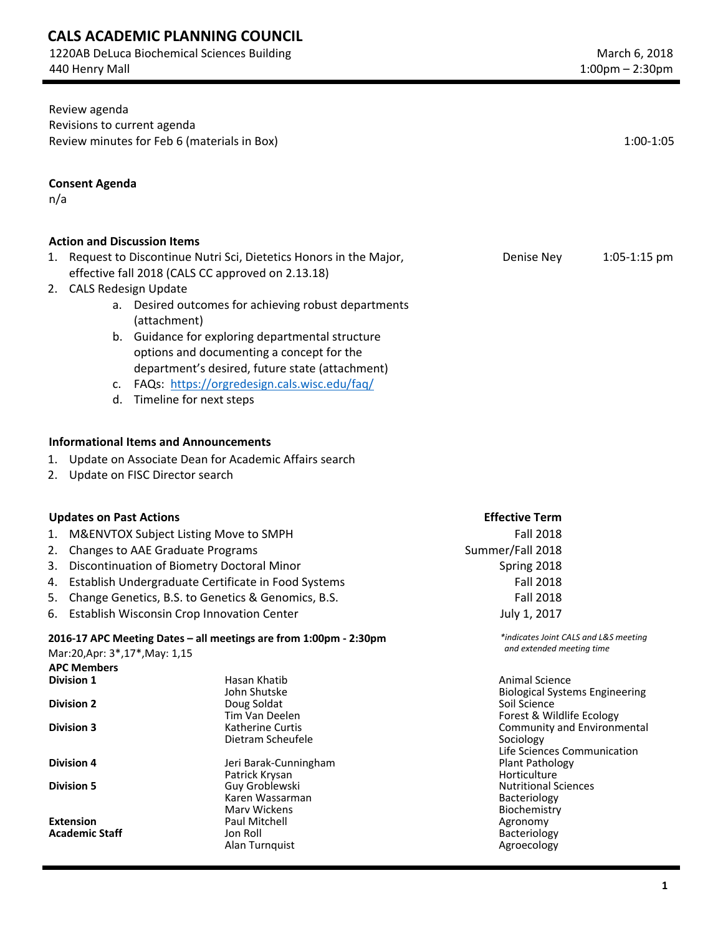## **CALS ACADEMIC PLANNING COUNCIL**

1220AB DeLuca Biochemical Sciences Building 440 Henry Mall

| Review agenda                                                       |                                                                   |                                                       |  |
|---------------------------------------------------------------------|-------------------------------------------------------------------|-------------------------------------------------------|--|
| Revisions to current agenda                                         |                                                                   |                                                       |  |
| Review minutes for Feb 6 (materials in Box)                         |                                                                   | $1:00-1:05$                                           |  |
|                                                                     |                                                                   |                                                       |  |
| <b>Consent Agenda</b>                                               |                                                                   |                                                       |  |
|                                                                     |                                                                   |                                                       |  |
| n/a                                                                 |                                                                   |                                                       |  |
|                                                                     |                                                                   |                                                       |  |
| <b>Action and Discussion Items</b>                                  |                                                                   |                                                       |  |
| 1. Request to Discontinue Nutri Sci, Dietetics Honors in the Major, |                                                                   | Denise Ney<br>$1:05-1:15$ pm                          |  |
|                                                                     |                                                                   |                                                       |  |
|                                                                     | effective fall 2018 (CALS CC approved on 2.13.18)                 |                                                       |  |
| 2. CALS Redesign Update                                             |                                                                   |                                                       |  |
|                                                                     | a. Desired outcomes for achieving robust departments              |                                                       |  |
| (attachment)                                                        |                                                                   |                                                       |  |
|                                                                     | b. Guidance for exploring departmental structure                  |                                                       |  |
|                                                                     | options and documenting a concept for the                         |                                                       |  |
|                                                                     | department's desired, future state (attachment)                   |                                                       |  |
|                                                                     | c. FAQs: https://orgredesign.cals.wisc.edu/faq/                   |                                                       |  |
|                                                                     | d. Timeline for next steps                                        |                                                       |  |
|                                                                     |                                                                   |                                                       |  |
|                                                                     |                                                                   |                                                       |  |
| <b>Informational Items and Announcements</b>                        |                                                                   |                                                       |  |
| 1.                                                                  | Update on Associate Dean for Academic Affairs search              |                                                       |  |
| 2. Update on FISC Director search                                   |                                                                   |                                                       |  |
|                                                                     |                                                                   |                                                       |  |
|                                                                     |                                                                   |                                                       |  |
| <b>Updates on Past Actions</b>                                      |                                                                   | <b>Effective Term</b>                                 |  |
| M&ENVTOX Subject Listing Move to SMPH<br>1.                         |                                                                   | <b>Fall 2018</b>                                      |  |
| Changes to AAE Graduate Programs<br>2.                              |                                                                   | Summer/Fall 2018                                      |  |
| 3.                                                                  | Discontinuation of Biometry Doctoral Minor                        | Spring 2018                                           |  |
| 4.                                                                  | Establish Undergraduate Certificate in Food Systems               | <b>Fall 2018</b>                                      |  |
| Change Genetics, B.S. to Genetics & Genomics, B.S.<br>5.            |                                                                   | <b>Fall 2018</b>                                      |  |
| 6. Establish Wisconsin Crop Innovation Center                       |                                                                   | July 1, 2017                                          |  |
|                                                                     |                                                                   |                                                       |  |
|                                                                     | 2016-17 APC Meeting Dates - all meetings are from 1:00pm - 2:30pm | *indicates Joint CALS and L&S meeting                 |  |
| Mar:20, Apr: 3*, 17*, May: 1, 15                                    |                                                                   | and extended meeting time                             |  |
| <b>APC Members</b>                                                  |                                                                   |                                                       |  |
| <b>Division 1</b>                                                   | Hasan Khatib                                                      | <b>Animal Science</b>                                 |  |
| <b>Division 2</b>                                                   | John Shutske                                                      | <b>Biological Systems Engineering</b><br>Soil Science |  |
|                                                                     | Doug Soldat<br>Tim Van Deelen                                     | Forest & Wildlife Ecology                             |  |
| <b>Division 3</b>                                                   | Katherine Curtis                                                  | Community and Environmental                           |  |
|                                                                     | Dietram Scheufele                                                 | Sociology                                             |  |
|                                                                     |                                                                   | Life Sciences Communication                           |  |
| <b>Division 4</b>                                                   | Jeri Barak-Cunningham<br>Patrick Krysan                           | Plant Pathology<br>Horticulture                       |  |
| <b>Division 5</b>                                                   | Guy Groblewski                                                    | <b>Nutritional Sciences</b>                           |  |
|                                                                     | Karen Wassarman                                                   | Bacteriology                                          |  |
|                                                                     | <b>Mary Wickens</b>                                               | Biochemistry                                          |  |
| <b>Extension</b><br><b>Academic Staff</b>                           | Paul Mitchell                                                     | Agronomy                                              |  |
|                                                                     | Jon Roll<br>Alan Turnquist                                        | Bacteriology<br>Agroecology                           |  |
|                                                                     |                                                                   |                                                       |  |
|                                                                     |                                                                   |                                                       |  |